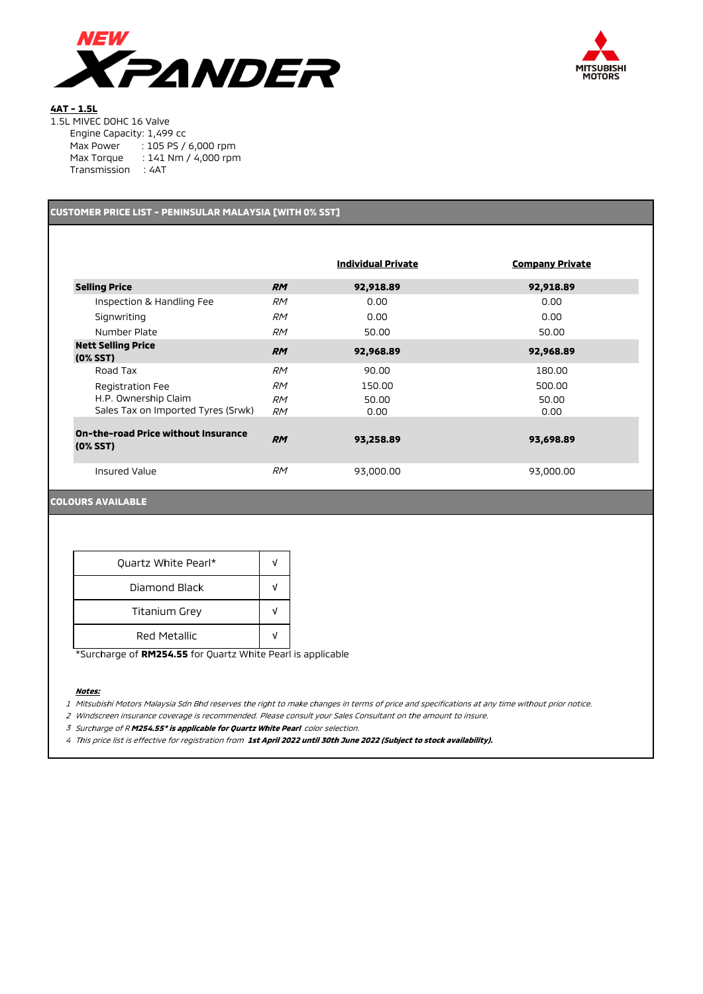



## **4AT - 1.5L**

| Engine Capacity: 1,499 cc |                      |
|---------------------------|----------------------|
| Max Power                 | : 105 PS / 6,000 rpm |
| Max Torque                | : 141 Nm / 4,000 rpm |
| Transmission              | : 4AT                |

# **CUSTOMER PRICE LIST - PENINSULAR MALAYSIA [WITH 0% SST]**

|                                                            |                 | <b>Individual Private</b> | <b>Company Private</b> |
|------------------------------------------------------------|-----------------|---------------------------|------------------------|
| <b>Selling Price</b>                                       | <b>RM</b>       | 92,918.89                 | 92,918.89              |
| Inspection & Handling Fee                                  | <b>RM</b>       | 0.00                      | 0.00                   |
| Signwriting                                                | <i>RM</i>       | 0.00                      | 0.00                   |
| Number Plate                                               | <b>RM</b>       | 50.00                     | 50.00                  |
| <b>Nett Selling Price</b><br>$(0%$ SST $)$                 | <b>RM</b>       | 92,968.89                 | 92,968.89              |
| Road Tax                                                   | <b>RM</b>       | 90.00                     | 180.00                 |
| Registration Fee                                           | <b>RM</b>       | 150.00                    | 500.00                 |
| H.P. Ownership Claim<br>Sales Tax on Imported Tyres (Srwk) | <b>RM</b><br>RM | 50.00<br>0.00             | 50.00<br>0.00          |
| <b>On-the-road Price without Insurance</b><br>$(0\% SST)$  | <b>RM</b>       | 93,258.89                 | 93,698.89              |
| Insured Value                                              | <b>RM</b>       | 93,000.00                 | 93,000.00              |

## **COLOURS AVAILABLE**

| Quartz White Pearl*  |  |  |
|----------------------|--|--|
| Diamond Black        |  |  |
| <b>Titanium Grey</b> |  |  |
| Red Metallic         |  |  |

\*Surcharge of **RM254.55** for Quartz White Pearl is applicable

### **Notes:**

1 Mitsubishi Motors Malaysia Sdn Bhd reserves the right to make changes in terms of price and specifications at any time without prior notice.

2 Windscreen insurance coverage is recommended. Please consult your Sales Consultant on the amount to insure.

<sup>3</sup> Surcharge of R **M254.55\* is applicable for Quartz White Pearl** color selection.

4 This price list is effective for registration from **1st April 2022 until 30th June 2022 (Subject to stock availability).**